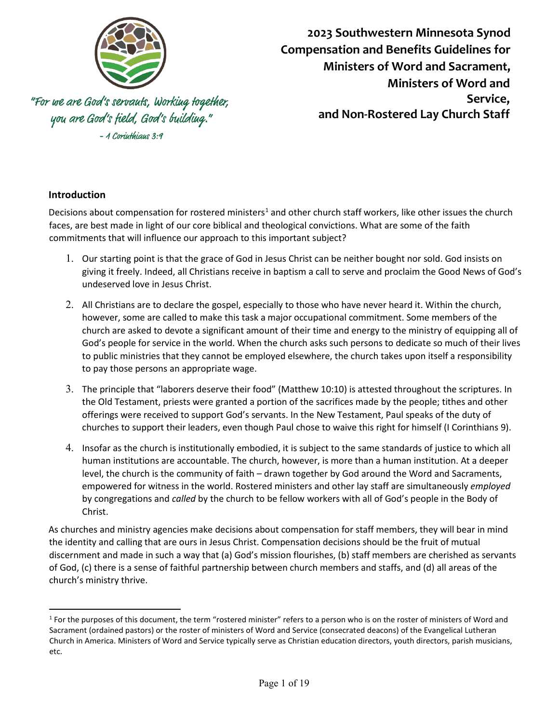

**2023 Southwestern Minnesota Synod Compensation and Benefits Guidelines for Ministers of Word and Sacrament, Ministers of Word and Service, and Non-Rostered Lay Church Staff** 

"For we are God's servauts, Working together, you are God's field, God's building." - 1 Corinthians 3:9

## **Introduction**

Decisions about compensation for rostered ministers<sup>[1](#page-0-0)</sup> and other church staff workers, like other issues the church faces, are best made in light of our core biblical and theological convictions. What are some of the faith commitments that will influence our approach to this important subject?

- 1. Our starting point is that the grace of God in Jesus Christ can be neither bought nor sold. God insists on giving it freely. Indeed, all Christians receive in baptism a call to serve and proclaim the Good News of God's undeserved love in Jesus Christ.
- 2. All Christians are to declare the gospel, especially to those who have never heard it. Within the church, however, some are called to make this task a major occupational commitment. Some members of the church are asked to devote a significant amount of their time and energy to the ministry of equipping all of God's people for service in the world. When the church asks such persons to dedicate so much of their lives to public ministries that they cannot be employed elsewhere, the church takes upon itself a responsibility to pay those persons an appropriate wage.
- 3. The principle that "laborers deserve their food" (Matthew 10:10) is attested throughout the scriptures. In the Old Testament, priests were granted a portion of the sacrifices made by the people; tithes and other offerings were received to support God's servants. In the New Testament, Paul speaks of the duty of churches to support their leaders, even though Paul chose to waive this right for himself (I Corinthians 9).
- 4. Insofar as the church is institutionally embodied, it is subject to the same standards of justice to which all human institutions are accountable. The church, however, is more than a human institution. At a deeper level, the church is the community of faith – drawn together by God around the Word and Sacraments, empowered for witness in the world. Rostered ministers and other lay staff are simultaneously *employed* by congregations and *called* by the church to be fellow workers with all of God's people in the Body of Christ.

As churches and ministry agencies make decisions about compensation for staff members, they will bear in mind the identity and calling that are ours in Jesus Christ. Compensation decisions should be the fruit of mutual discernment and made in such a way that (a) God's mission flourishes, (b) staff members are cherished as servants of God, (c) there is a sense of faithful partnership between church members and staffs, and (d) all areas of the church's ministry thrive.

<span id="page-0-0"></span> $1$  For the purposes of this document, the term "rostered minister" refers to a person who is on the roster of ministers of Word and Sacrament (ordained pastors) or the roster of ministers of Word and Service (consecrated deacons) of the Evangelical Lutheran Church in America. Ministers of Word and Service typically serve as Christian education directors, youth directors, parish musicians, etc.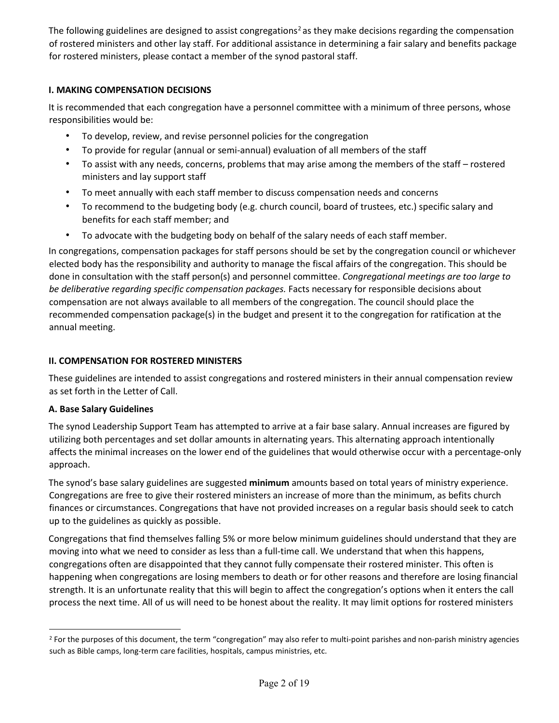The following guidelines are designed to assist congregations<sup>[2](#page-1-0)</sup> as they make decisions regarding the compensation of rostered ministers and other lay staff. For additional assistance in determining a fair salary and benefits package for rostered ministers, please contact a member of the synod pastoral staff.

### **I. MAKING COMPENSATION DECISIONS**

It is recommended that each congregation have a personnel committee with a minimum of three persons, whose responsibilities would be:

- To develop, review, and revise personnel policies for the congregation
- To provide for regular (annual or semi-annual) evaluation of all members of the staff
- To assist with any needs, concerns, problems that may arise among the members of the staff rostered ministers and lay support staff
- To meet annually with each staff member to discuss compensation needs and concerns
- To recommend to the budgeting body (e.g. church council, board of trustees, etc.) specific salary and benefits for each staff member; and
- To advocate with the budgeting body on behalf of the salary needs of each staff member.

In congregations, compensation packages for staff persons should be set by the congregation council or whichever elected body has the responsibility and authority to manage the fiscal affairs of the congregation. This should be done in consultation with the staff person(s) and personnel committee. *Congregational meetings are too large to be deliberative regarding specific compensation packages.* Facts necessary for responsible decisions about compensation are not always available to all members of the congregation. The council should place the recommended compensation package(s) in the budget and present it to the congregation for ratification at the annual meeting.

#### **II. COMPENSATION FOR ROSTERED MINISTERS**

These guidelines are intended to assist congregations and rostered ministers in their annual compensation review as set forth in the Letter of Call.

#### **A. Base Salary Guidelines**

The synod Leadership Support Team has attempted to arrive at a fair base salary. Annual increases are figured by utilizing both percentages and set dollar amounts in alternating years. This alternating approach intentionally affects the minimal increases on the lower end of the guidelines that would otherwise occur with a percentage-only approach.

The synod's base salary guidelines are suggested **minimum** amounts based on total years of ministry experience. Congregations are free to give their rostered ministers an increase of more than the minimum, as befits church finances or circumstances. Congregations that have not provided increases on a regular basis should seek to catch up to the guidelines as quickly as possible.

Congregations that find themselves falling 5% or more below minimum guidelines should understand that they are moving into what we need to consider as less than a full-time call. We understand that when this happens, congregations often are disappointed that they cannot fully compensate their rostered minister. This often is happening when congregations are losing members to death or for other reasons and therefore are losing financial strength. It is an unfortunate reality that this will begin to affect the congregation's options when it enters the call process the next time. All of us will need to be honest about the reality. It may limit options for rostered ministers

<span id="page-1-0"></span><sup>&</sup>lt;sup>2</sup> For the purposes of this document, the term "congregation" may also refer to multi-point parishes and non-parish ministry agencies such as Bible camps, long-term care facilities, hospitals, campus ministries, etc.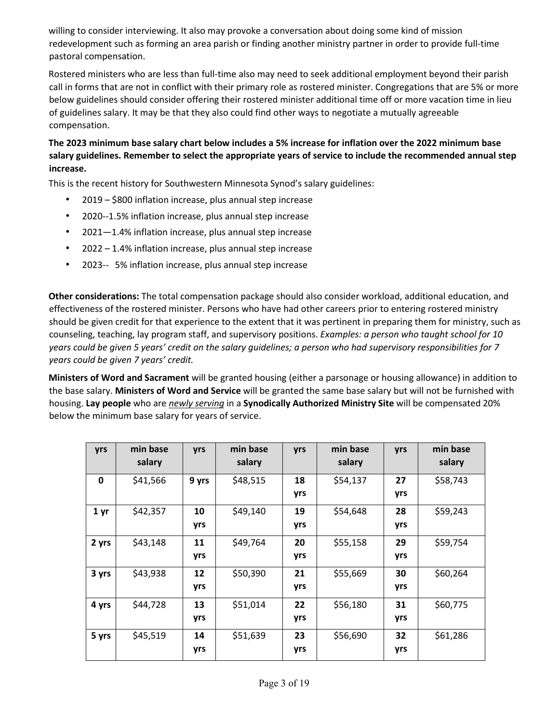willing to consider interviewing. It also may provoke a conversation about doing some kind of mission redevelopment such as forming an area parish or finding another ministry partner in order to provide full-time pastoral compensation.

Rostered ministers who are less than full-time also may need to seek additional employment beyond their parish call in forms that are not in conflict with their primary role as rostered minister. Congregations that are 5% or more below guidelines should consider offering their rostered minister additional time off or more vacation time in lieu of guidelines salary. It may be that they also could find other ways to negotiate a mutually agreeable compensation.

## **The 2023 minimum base salary chart below includes a 5% increase for inflation over the 2022 minimum base salary guidelines. Remember to select the appropriate years of service to include the recommended annual step increase.**

This is the recent history for Southwestern Minnesota Synod's salary guidelines:

- 2019 \$800 inflation increase, plus annual step increase
- 2020--1.5% inflation increase, plus annual step increase
- 2021—1.4% inflation increase, plus annual step increase
- 2022 1.4% inflation increase, plus annual step increase
- 2023-- 5% inflation increase, plus annual step increase

**Other considerations:** The total compensation package should also consider workload, additional education, and effectiveness of the rostered minister. Persons who have had other careers prior to entering rostered ministry should be given credit for that experience to the extent that it was pertinent in preparing them for ministry, such as counseling, teaching, lay program staff, and supervisory positions. *Examples: a person who taught school for 10 years could be given 5 years' credit on the salary guidelines; a person who had supervisory responsibilities for 7 years could be given 7 years' credit.*

**Ministers of Word and Sacrament** will be granted housing (either a parsonage or housing allowance) in addition to the base salary. **Ministers of Word and Service** will be granted the same base salary but will not be furnished with housing. **Lay people** who are *newly serving* in a **Synodically Authorized Ministry Site** will be compensated 20% below the minimum base salary for years of service.

| yrs             | min base<br>salary | yrs       | min base<br>salary | yrs       | min base<br>salary | yrs       | min base<br>salary |
|-----------------|--------------------|-----------|--------------------|-----------|--------------------|-----------|--------------------|
| 0               | \$41,566           | 9 yrs     | \$48,515           | 18<br>yrs | \$54,137           | 27<br>yrs | \$58,743           |
| 1 <sub>yr</sub> | \$42,357           | 10<br>yrs | \$49,140           | 19<br>yrs | \$54,648           | 28<br>yrs | \$59,243           |
| 2 yrs           | \$43,148           | 11<br>yrs | \$49,764           | 20<br>yrs | \$55,158           | 29<br>yrs | \$59,754           |
| 3 yrs           | \$43,938           | 12<br>yrs | \$50,390           | 21<br>yrs | \$55,669           | 30<br>yrs | \$60,264           |
| 4 yrs           | \$44,728           | 13<br>yrs | \$51,014           | 22<br>yrs | \$56,180           | 31<br>yrs | \$60,775           |
| 5 yrs           | \$45,519           | 14<br>yrs | \$51,639           | 23<br>yrs | \$56,690           | 32<br>yrs | \$61,286           |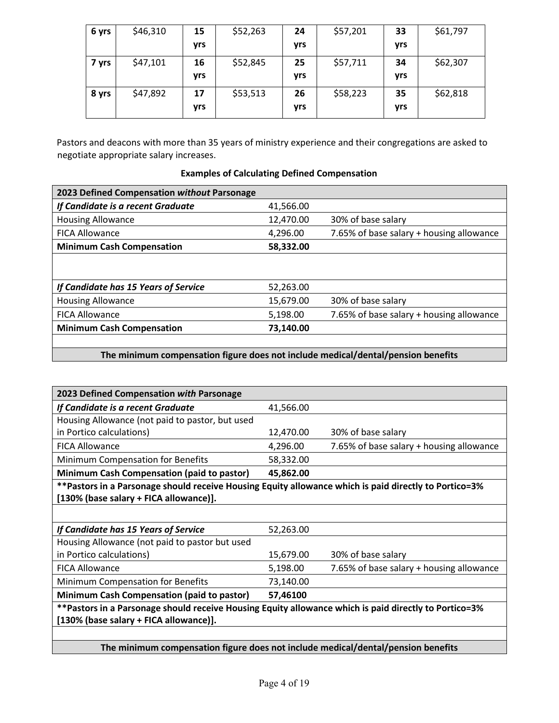| 6 yrs | \$46,310 | 15  | \$52,263 | 24  | \$57,201 | 33  | \$61,797 |
|-------|----------|-----|----------|-----|----------|-----|----------|
|       |          | yrs |          | yrs |          | yrs |          |
| 7 yrs | \$47,101 | 16  | \$52,845 | 25  | \$57,711 | 34  | \$62,307 |
|       |          | yrs |          | yrs |          | yrs |          |
| 8 yrs | \$47,892 | 17  | \$53,513 | 26  | \$58,223 | 35  | \$62,818 |
|       |          | yrs |          | yrs |          | yrs |          |

Pastors and deacons with more than 35 years of ministry experience and their congregations are asked to negotiate appropriate salary increases.

| 2023 Defined Compensation without Parsonage |           |                                          |  |  |
|---------------------------------------------|-----------|------------------------------------------|--|--|
| If Candidate is a recent Graduate           | 41,566.00 |                                          |  |  |
| <b>Housing Allowance</b>                    | 12,470.00 | 30% of base salary                       |  |  |
| <b>FICA Allowance</b>                       | 4,296.00  | 7.65% of base salary + housing allowance |  |  |
| <b>Minimum Cash Compensation</b>            | 58,332.00 |                                          |  |  |
|                                             |           |                                          |  |  |
|                                             |           |                                          |  |  |
| If Candidate has 15 Years of Service        | 52,263.00 |                                          |  |  |
| <b>Housing Allowance</b>                    | 15,679.00 | 30% of base salary                       |  |  |
| <b>FICA Allowance</b>                       | 5,198.00  | 7.65% of base salary + housing allowance |  |  |
| <b>Minimum Cash Compensation</b>            | 73,140.00 |                                          |  |  |
|                                             |           |                                          |  |  |

## **Examples of Calculating Defined Compensation**

## **The minimum compensation figure does not include medical/dental/pension benefits**

| 2023 Defined Compensation with Parsonage                                                               |           |                                          |  |  |
|--------------------------------------------------------------------------------------------------------|-----------|------------------------------------------|--|--|
| If Candidate is a recent Graduate                                                                      | 41,566.00 |                                          |  |  |
| Housing Allowance (not paid to pastor, but used                                                        |           |                                          |  |  |
| in Portico calculations)                                                                               | 12,470.00 | 30% of base salary                       |  |  |
| <b>FICA Allowance</b>                                                                                  | 4,296.00  | 7.65% of base salary + housing allowance |  |  |
| Minimum Compensation for Benefits                                                                      | 58,332.00 |                                          |  |  |
| Minimum Cash Compensation (paid to pastor)                                                             | 45,862.00 |                                          |  |  |
| ** Pastors in a Parsonage should receive Housing Equity allowance which is paid directly to Portico=3% |           |                                          |  |  |
| [130% (base salary + FICA allowance)].                                                                 |           |                                          |  |  |
|                                                                                                        |           |                                          |  |  |
| If Candidate has 15 Years of Service                                                                   | 52,263.00 |                                          |  |  |
| Housing Allowance (not paid to pastor but used                                                         |           |                                          |  |  |
| in Portico calculations)                                                                               | 15,679.00 | 30% of base salary                       |  |  |
| <b>FICA Allowance</b>                                                                                  | 5,198.00  | 7.65% of base salary + housing allowance |  |  |
| Minimum Compensation for Benefits                                                                      | 73,140.00 |                                          |  |  |
| <b>Minimum Cash Compensation (paid to pastor)</b>                                                      | 57,46100  |                                          |  |  |
| **Pastors in a Parsonage should receive Housing Equity allowance which is paid directly to Portico=3%  |           |                                          |  |  |
| [130% (base salary + FICA allowance)].                                                                 |           |                                          |  |  |
|                                                                                                        |           |                                          |  |  |
| The minimum compensation figure does not include medical/dental/pension benefits                       |           |                                          |  |  |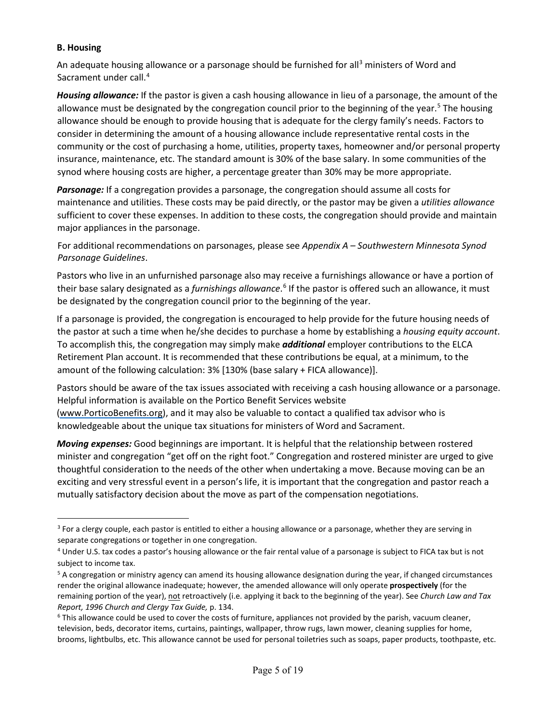#### **B. Housing**

An adequate housing allowance or a parsonage should be furnished for all<sup>[3](#page-4-0)</sup> ministers of Word and Sacrament under call.<sup>4</sup>

*Housing allowance:* If the pastor is given a cash housing allowance in lieu of a parsonage, the amount of the allowance must be designated by the congregation council prior to the beginning of the year.<sup>[5](#page-4-2)</sup> The housing allowance should be enough to provide housing that is adequate for the clergy family's needs. Factors to consider in determining the amount of a housing allowance include representative rental costs in the community or the cost of purchasing a home, utilities, property taxes, homeowner and/or personal property insurance, maintenance, etc. The standard amount is 30% of the base salary. In some communities of the synod where housing costs are higher, a percentage greater than 30% may be more appropriate.

*Parsonage:* If a congregation provides a parsonage, the congregation should assume all costs for maintenance and utilities. These costs may be paid directly, or the pastor may be given a *utilities allowance* sufficient to cover these expenses. In addition to these costs, the congregation should provide and maintain major appliances in the parsonage.

For additional recommendations on parsonages, please see *Appendix A – Southwestern Minnesota Synod Parsonage Guidelines*.

Pastors who live in an unfurnished parsonage also may receive a furnishings allowance or have a portion of their base salary designated as a *furnishings allowance*. [6](#page-4-3) If the pastor is offered such an allowance, it must be designated by the congregation council prior to the beginning of the year.

If a parsonage is provided, the congregation is encouraged to help provide for the future housing needs of the pastor at such a time when he/she decides to purchase a home by establishing a *housing equity account*. To accomplish this, the congregation may simply make *additional* employer contributions to the ELCA Retirement Plan account. It is recommended that these contributions be equal, at a minimum, to the amount of the following calculation: 3% [130% (base salary + FICA allowance)].

Pastors should be aware of the tax issues associated with receiving a cash housing allowance or a parsonage. Helpful information is available on the Portico Benefit Services website [\(www.PorticoBenefits.org\),](http://www.porticobenefits.org/) and it may also be valuable to contact a qualified tax advisor who is knowledgeable about the unique tax situations for ministers of Word and Sacrament.

*Moving expenses:* Good beginnings are important. It is helpful that the relationship between rostered minister and congregation "get off on the right foot." Congregation and rostered minister are urged to give thoughtful consideration to the needs of the other when undertaking a move. Because moving can be an exciting and very stressful event in a person's life, it is important that the congregation and pastor reach a mutually satisfactory decision about the move as part of the compensation negotiations.

<span id="page-4-0"></span><sup>&</sup>lt;sup>3</sup> For a clergy couple, each pastor is entitled to either a housing allowance or a parsonage, whether they are serving in

<span id="page-4-1"></span>separate congregations or together in one congregation.<br><sup>4</sup> Under U.S. tax codes a pastor's housing allowance or the fair rental value of a parsonage is subject to FICA tax but is not subject to income tax.

<span id="page-4-2"></span><sup>&</sup>lt;sup>5</sup> A congregation or ministry agency can amend its housing allowance designation during the year, if changed circumstances render the original allowance inadequate; however, the amended allowance will only operate **prospectively** (for the remaining portion of the year), not retroactively (i.e. applying it back to the beginning of the year). See *Church Law and Tax Report, 1996 Church and Clergy Tax Guide, p.* 134.<br><sup>6</sup> This allowance could be used to cover the costs of furniture, appliances not provided by the parish, vacuum cleaner,

<span id="page-4-3"></span>television, beds, decorator items, curtains, paintings, wallpaper, throw rugs, lawn mower, cleaning supplies for home, brooms, lightbulbs, etc. This allowance cannot be used for personal toiletries such as soaps, paper products, toothpaste, etc.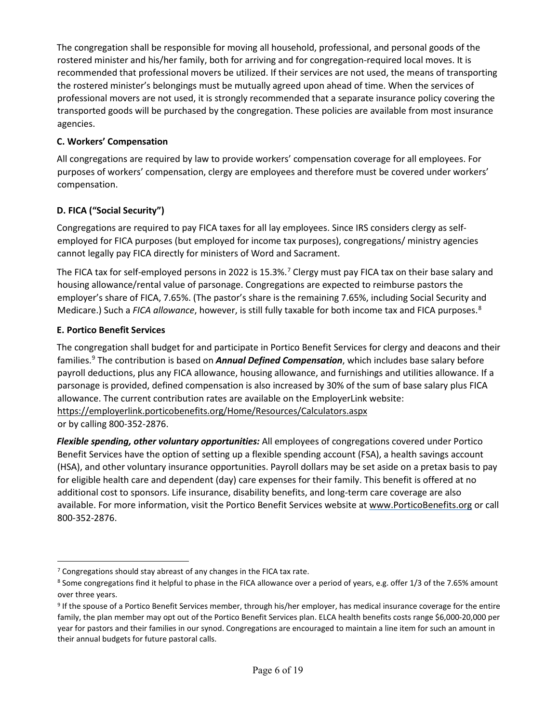The congregation shall be responsible for moving all household, professional, and personal goods of the rostered minister and his/her family, both for arriving and for congregation-required local moves. It is recommended that professional movers be utilized. If their services are not used, the means of transporting the rostered minister's belongings must be mutually agreed upon ahead of time. When the services of professional movers are not used, it is strongly recommended that a separate insurance policy covering the transported goods will be purchased by the congregation. These policies are available from most insurance agencies.

## **C. Workers' Compensation**

All congregations are required by law to provide workers' compensation coverage for all employees. For purposes of workers' compensation, clergy are employees and therefore must be covered under workers' compensation.

## **D. FICA ("Social Security")**

Congregations are required to pay FICA taxes for all lay employees. Since IRS considers clergy as selfemployed for FICA purposes (but employed for income tax purposes), congregations/ ministry agencies cannot legally pay FICA directly for ministers of Word and Sacrament.

The FICA tax for self-employed persons in 2022 is 15.3%.<sup>[7](#page-5-0)</sup> Clergy must pay FICA tax on their base salary and housing allowance/rental value of parsonage. Congregations are expected to reimburse pastors the employer's share of FICA, 7.65%. (The pastor's share is the remaining 7.65%, including Social Security and Medicare.) Such a *FICA allowance*, however, is still fully taxable for both income tax and FICA purposes.[8](#page-5-1)

## **E. Portico Benefit Services**

The congregation shall budget for and participate in Portico Benefit Services for clergy and deacons and their families.[9](#page-5-2) The contribution is based on *Annual Defined Compensation*, which includes base salary before payroll deductions, plus any FICA allowance, housing allowance, and furnishings and utilities allowance. If a parsonage is provided, defined compensation is also increased by 30% of the sum of base salary plus FICA allowance. The current contribution rates are available on the EmployerLink website: <https://employerlink.porticobenefits.org/Home/Resources/Calculators.aspx> or by calling 800-352-2876.

*Flexible spending, other voluntary opportunities:* All employees of congregations covered under Portico Benefit Services have the option of setting up a flexible spending account (FSA), a health savings account (HSA), and other voluntary insurance opportunities. Payroll dollars may be set aside on a pretax basis to pay for eligible health care and dependent (day) care expenses for their family. This benefit is offered at no additional cost to sponsors. Life insurance, disability benefits, and long-term care coverage are also available. For more information, visit the Portico Benefit Services website a[t www.PorticoBenefits.org](http://www.porticobenefits.org/) [o](http://www.porticobenefits.org/)r call 800-352-2876.

<span id="page-5-0"></span><sup>&</sup>lt;sup>7</sup> Congregations should stay abreast of any changes in the FICA tax rate.

<span id="page-5-1"></span><sup>8</sup> Some congregations find it helpful to phase in the FICA allowance over a period of years, e.g. offer 1/3 of the 7.65% amount over three years.

<span id="page-5-2"></span><sup>&</sup>lt;sup>9</sup> If the spouse of a Portico Benefit Services member, through his/her employer, has medical insurance coverage for the entire family, the plan member may opt out of the Portico Benefit Services plan. ELCA health benefits costs range \$6,000-20,000 per year for pastors and their families in our synod. Congregations are encouraged to maintain a line item for such an amount in their annual budgets for future pastoral calls.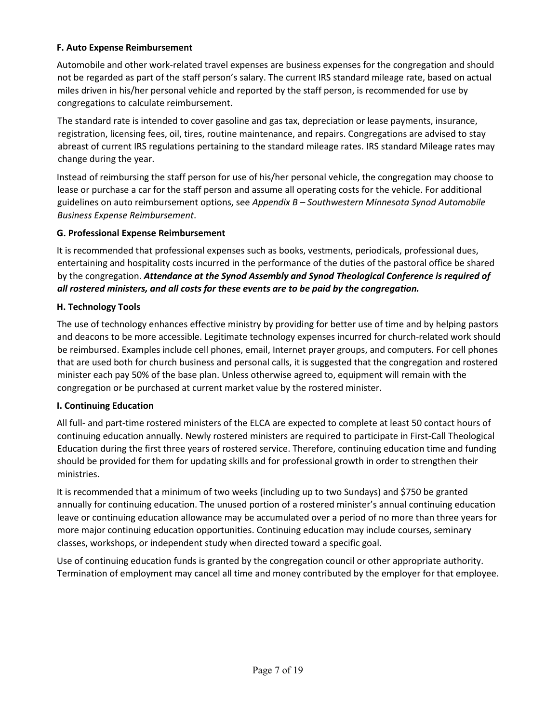### **F. Auto Expense Reimbursement**

Automobile and other work-related travel expenses are business expenses for the congregation and should not be regarded as part of the staff person's salary. The current IRS standard mileage rate, based on actual miles driven in his/her personal vehicle and reported by the staff person, is recommended for use by congregations to calculate reimbursement.

The standard rate is intended to cover gasoline and gas tax, depreciation or lease payments, insurance, registration, licensing fees, oil, tires, routine maintenance, and repairs. Congregations are advised to stay abreast of current IRS regulations pertaining to the standard mileage rates. IRS standard Mileage rates may change during the year.

Instead of reimbursing the staff person for use of his/her personal vehicle, the congregation may choose to lease or purchase a car for the staff person and assume all operating costs for the vehicle. For additional guidelines on auto reimbursement options, see *Appendix B – Southwestern Minnesota Synod Automobile Business Expense Reimbursement*.

## **G. Professional Expense Reimbursement**

It is recommended that professional expenses such as books, vestments, periodicals, professional dues, entertaining and hospitality costs incurred in the performance of the duties of the pastoral office be shared by the congregation. *Attendance at the Synod Assembly and Synod Theological Conference is required of all rostered ministers, and all costs for these events are to be paid by the congregation.*

## **H. Technology Tools**

The use of technology enhances effective ministry by providing for better use of time and by helping pastors and deacons to be more accessible. Legitimate technology expenses incurred for church-related work should be reimbursed. Examples include cell phones, email, Internet prayer groups, and computers. For cell phones that are used both for church business and personal calls, it is suggested that the congregation and rostered minister each pay 50% of the base plan. Unless otherwise agreed to, equipment will remain with the congregation or be purchased at current market value by the rostered minister.

#### **I. Continuing Education**

All full- and part-time rostered ministers of the ELCA are expected to complete at least 50 contact hours of continuing education annually. Newly rostered ministers are required to participate in First-Call Theological Education during the first three years of rostered service. Therefore, continuing education time and funding should be provided for them for updating skills and for professional growth in order to strengthen their ministries.

It is recommended that a minimum of two weeks (including up to two Sundays) and \$750 be granted annually for continuing education. The unused portion of a rostered minister's annual continuing education leave or continuing education allowance may be accumulated over a period of no more than three years for more major continuing education opportunities. Continuing education may include courses, seminary classes, workshops, or independent study when directed toward a specific goal.

Use of continuing education funds is granted by the congregation council or other appropriate authority. Termination of employment may cancel all time and money contributed by the employer for that employee.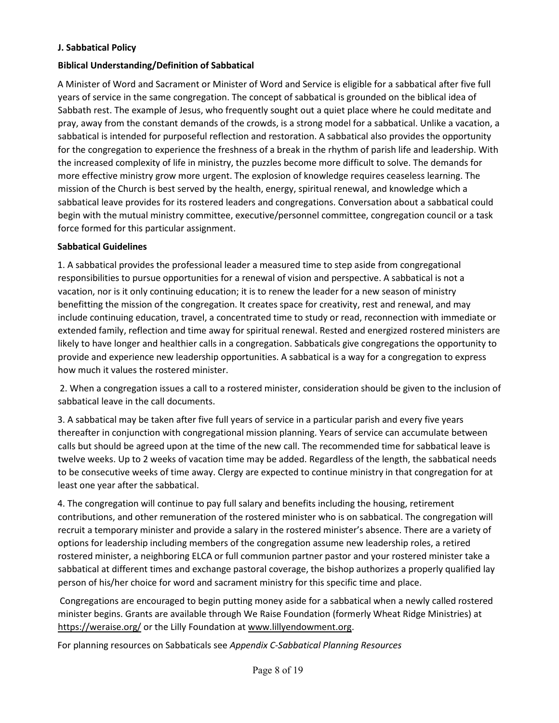#### **J. Sabbatical Policy**

## **Biblical Understanding/Definition of Sabbatical**

A Minister of Word and Sacrament or Minister of Word and Service is eligible for a sabbatical after five full years of service in the same congregation. The concept of sabbatical is grounded on the biblical idea of Sabbath rest. The example of Jesus, who frequently sought out a quiet place where he could meditate and pray, away from the constant demands of the crowds, is a strong model for a sabbatical. Unlike a vacation, a sabbatical is intended for purposeful reflection and restoration. A sabbatical also provides the opportunity for the congregation to experience the freshness of a break in the rhythm of parish life and leadership. With the increased complexity of life in ministry, the puzzles become more difficult to solve. The demands for more effective ministry grow more urgent. The explosion of knowledge requires ceaseless learning. The mission of the Church is best served by the health, energy, spiritual renewal, and knowledge which a sabbatical leave provides for its rostered leaders and congregations. Conversation about a sabbatical could begin with the mutual ministry committee, executive/personnel committee, congregation council or a task force formed for this particular assignment.

## **Sabbatical Guidelines**

1. A sabbatical provides the professional leader a measured time to step aside from congregational responsibilities to pursue opportunities for a renewal of vision and perspective. A sabbatical is not a vacation, nor is it only continuing education; it is to renew the leader for a new season of ministry benefitting the mission of the congregation. It creates space for creativity, rest and renewal, and may include continuing education, travel, a concentrated time to study or read, reconnection with immediate or extended family, reflection and time away for spiritual renewal. Rested and energized rostered ministers are likely to have longer and healthier calls in a congregation. Sabbaticals give congregations the opportunity to provide and experience new leadership opportunities. A sabbatical is a way for a congregation to express how much it values the rostered minister.

2. When a congregation issues a call to a rostered minister, consideration should be given to the inclusion of sabbatical leave in the call documents.

3. A sabbatical may be taken after five full years of service in a particular parish and every five years thereafter in conjunction with congregational mission planning. Years of service can accumulate between calls but should be agreed upon at the time of the new call. The recommended time for sabbatical leave is twelve weeks. Up to 2 weeks of vacation time may be added. Regardless of the length, the sabbatical needs to be consecutive weeks of time away. Clergy are expected to continue ministry in that congregation for at least one year after the sabbatical.

4. The congregation will continue to pay full salary and benefits including the housing, retirement contributions, and other remuneration of the rostered minister who is on sabbatical. The congregation will recruit a temporary minister and provide a salary in the rostered minister's absence. There are a variety of options for leadership including members of the congregation assume new leadership roles, a retired rostered minister, a neighboring ELCA or full communion partner pastor and your rostered minister take a sabbatical at different times and exchange pastoral coverage, the bishop authorizes a properly qualified lay person of his/her choice for word and sacrament ministry for this specific time and place.

Congregations are encouraged to begin putting money aside for a sabbatical when a newly called rostered minister begins. Grants are available through We Raise Foundation (formerly Wheat Ridge Ministries) at <https://weraise.org/> or the Lilly Foundation a[t www.lillyendowment.org.](http://www.lillyendowment.org/)

For planning resources on Sabbaticals see *Appendix C-Sabbatical Planning Resources*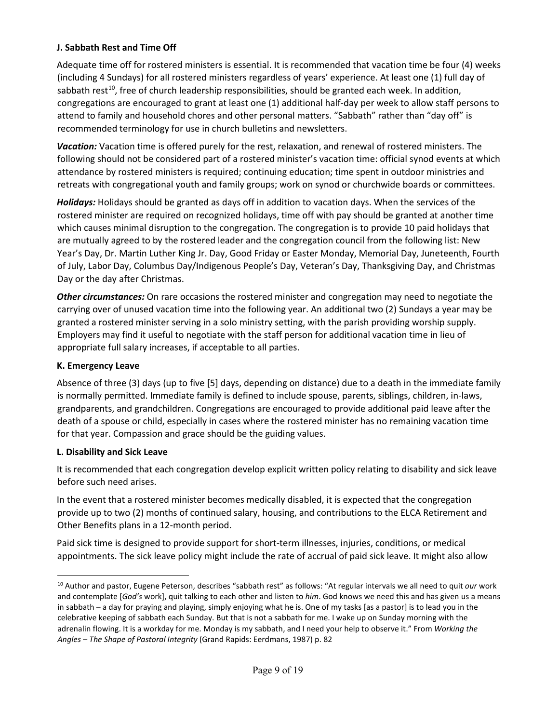### **J. Sabbath Rest and Time Off**

Adequate time off for rostered ministers is essential. It is recommended that vacation time be four (4) weeks (including 4 Sundays) for all rostered ministers regardless of years' experience. At least one (1) full day of sabbath rest<sup>10</sup>, free of church leadership responsibilities, should be granted each week. In addition, congregations are encouraged to grant at least one (1) additional half-day per week to allow staff persons to attend to family and household chores and other personal matters. "Sabbath" rather than "day off" is recommended terminology for use in church bulletins and newsletters.

*Vacation:* Vacation time is offered purely for the rest, relaxation, and renewal of rostered ministers. The following should not be considered part of a rostered minister's vacation time: official synod events at which attendance by rostered ministers is required; continuing education; time spent in outdoor ministries and retreats with congregational youth and family groups; work on synod or churchwide boards or committees.

*Holidays:* Holidays should be granted as days off in addition to vacation days. When the services of the rostered minister are required on recognized holidays, time off with pay should be granted at another time which causes minimal disruption to the congregation. The congregation is to provide 10 paid holidays that are mutually agreed to by the rostered leader and the congregation council from the following list: New Year's Day, Dr. Martin Luther King Jr. Day, Good Friday or Easter Monday, Memorial Day, Juneteenth, Fourth of July, Labor Day, Columbus Day/Indigenous People's Day, Veteran's Day, Thanksgiving Day, and Christmas Day or the day after Christmas.

*Other circumstances:* On rare occasions the rostered minister and congregation may need to negotiate the carrying over of unused vacation time into the following year. An additional two (2) Sundays a year may be granted a rostered minister serving in a solo ministry setting, with the parish providing worship supply. Employers may find it useful to negotiate with the staff person for additional vacation time in lieu of appropriate full salary increases, if acceptable to all parties.

#### **K. Emergency Leave**

Absence of three (3) days (up to five [5] days, depending on distance) due to a death in the immediate family is normally permitted. Immediate family is defined to include spouse, parents, siblings, children, in-laws, grandparents, and grandchildren. Congregations are encouraged to provide additional paid leave after the death of a spouse or child, especially in cases where the rostered minister has no remaining vacation time for that year. Compassion and grace should be the guiding values.

#### **L. Disability and Sick Leave**

It is recommended that each congregation develop explicit written policy relating to disability and sick leave before such need arises.

In the event that a rostered minister becomes medically disabled, it is expected that the congregation provide up to two (2) months of continued salary, housing, and contributions to the ELCA Retirement and Other Benefits plans in a 12-month period.

Paid sick time is designed to provide support for short-term illnesses, injuries, conditions, or medical appointments. The sick leave policy might include the rate of accrual of paid sick leave. It might also allow

<span id="page-8-0"></span><sup>10</sup> Author and pastor, Eugene Peterson, describes "sabbath rest" as follows: "At regular intervals we all need to quit *our* work and contemplate [*God's* work], quit talking to each other and listen to *him*. God knows we need this and has given us a means in sabbath – a day for praying and playing, simply enjoying what he is. One of my tasks [as a pastor] is to lead you in the celebrative keeping of sabbath each Sunday. But that is not a sabbath for me. I wake up on Sunday morning with the adrenalin flowing. It is a workday for me. Monday is my sabbath, and I need your help to observe it." From *Working the Angles – The Shape of Pastoral Integrity* (Grand Rapids: Eerdmans, 1987) p. 82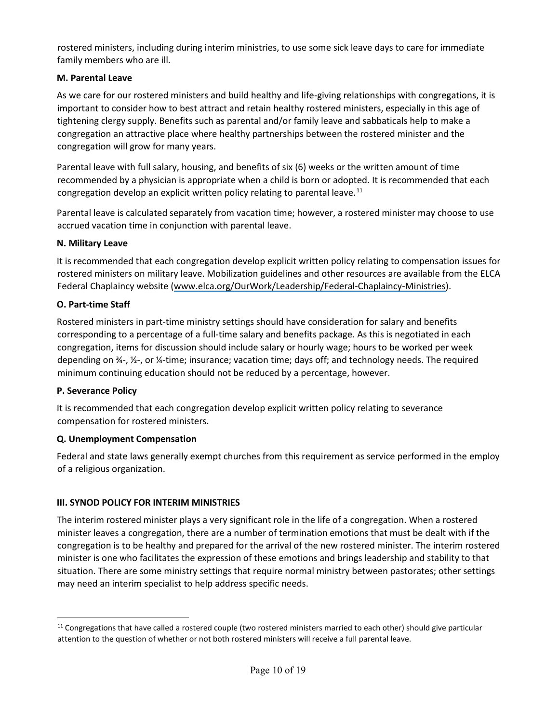rostered ministers, including during interim ministries, to use some sick leave days to care for immediate family members who are ill.

## **M. Parental Leave**

As we care for our rostered ministers and build healthy and life-giving relationships with congregations, it is important to consider how to best attract and retain healthy rostered ministers, especially in this age of tightening clergy supply. Benefits such as parental and/or family leave and sabbaticals help to make a congregation an attractive place where healthy partnerships between the rostered minister and the congregation will grow for many years.

Parental leave with full salary, housing, and benefits of six (6) weeks or the written amount of time recommended by a physician is appropriate when a child is born or adopted. It is recommended that each congregation develop an explicit written policy relating to parental leave. $^{11}$  $^{11}$  $^{11}$ 

Parental leave is calculated separately from vacation time; however, a rostered minister may choose to use accrued vacation time in conjunction with parental leave.

#### **N. Military Leave**

It is recommended that each congregation develop explicit written policy relating to compensation issues for rostered ministers on military leave. Mobilization guidelines and other resources are available from the ELCA Federal Chaplaincy website [\(www.elca.org/OurWork/Leadership/Federal-Chaplaincy-Ministries\).](http://www.elca.org/Our-Work/Leadership/Federal-Chaplaincy-Ministries)

#### **O. Part-time Staff**

Rostered ministers in part-time ministry settings should have consideration for salary and benefits corresponding to a percentage of a full-time salary and benefits package. As this is negotiated in each congregation, items for discussion should include salary or hourly wage; hours to be worked per week depending on ¾-, ½-, or ¼-time; insurance; vacation time; days off; and technology needs. The required minimum continuing education should not be reduced by a percentage, however.

#### **P. Severance Policy**

It is recommended that each congregation develop explicit written policy relating to severance compensation for rostered ministers.

#### **Q. Unemployment Compensation**

Federal and state laws generally exempt churches from this requirement as service performed in the employ of a religious organization.

#### **III. SYNOD POLICY FOR INTERIM MINISTRIES**

The interim rostered minister plays a very significant role in the life of a congregation. When a rostered minister leaves a congregation, there are a number of termination emotions that must be dealt with if the congregation is to be healthy and prepared for the arrival of the new rostered minister. The interim rostered minister is one who facilitates the expression of these emotions and brings leadership and stability to that situation. There are some ministry settings that require normal ministry between pastorates; other settings may need an interim specialist to help address specific needs.

<span id="page-9-0"></span><sup>&</sup>lt;sup>11</sup> Congregations that have called a rostered couple (two rostered ministers married to each other) should give particular attention to the question of whether or not both rostered ministers will receive a full parental leave.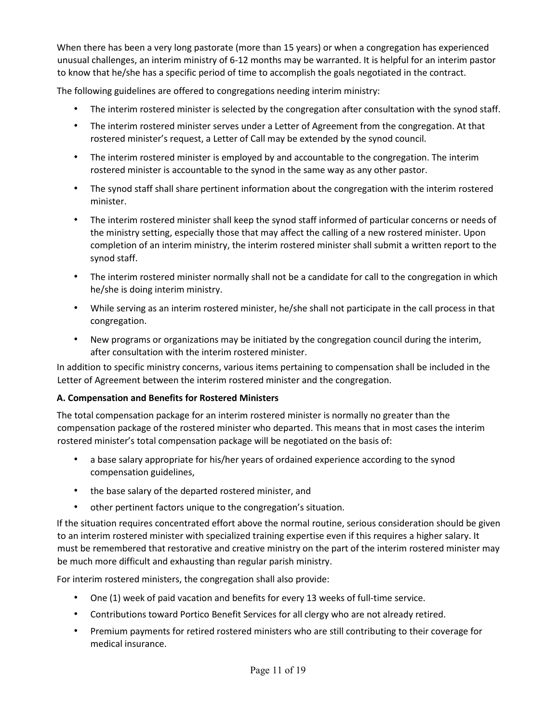When there has been a very long pastorate (more than 15 years) or when a congregation has experienced unusual challenges, an interim ministry of 6-12 months may be warranted. It is helpful for an interim pastor to know that he/she has a specific period of time to accomplish the goals negotiated in the contract.

The following guidelines are offered to congregations needing interim ministry:

- The interim rostered minister is selected by the congregation after consultation with the synod staff.
- The interim rostered minister serves under a Letter of Agreement from the congregation. At that rostered minister's request, a Letter of Call may be extended by the synod council.
- The interim rostered minister is employed by and accountable to the congregation. The interim rostered minister is accountable to the synod in the same way as any other pastor.
- The synod staff shall share pertinent information about the congregation with the interim rostered minister.
- The interim rostered minister shall keep the synod staff informed of particular concerns or needs of the ministry setting, especially those that may affect the calling of a new rostered minister. Upon completion of an interim ministry, the interim rostered minister shall submit a written report to the synod staff.
- The interim rostered minister normally shall not be a candidate for call to the congregation in which he/she is doing interim ministry.
- While serving as an interim rostered minister, he/she shall not participate in the call process in that congregation.
- New programs or organizations may be initiated by the congregation council during the interim, after consultation with the interim rostered minister.

In addition to specific ministry concerns, various items pertaining to compensation shall be included in the Letter of Agreement between the interim rostered minister and the congregation.

#### **A. Compensation and Benefits for Rostered Ministers**

The total compensation package for an interim rostered minister is normally no greater than the compensation package of the rostered minister who departed. This means that in most cases the interim rostered minister's total compensation package will be negotiated on the basis of:

- a base salary appropriate for his/her years of ordained experience according to the synod compensation guidelines,
- the base salary of the departed rostered minister, and
- other pertinent factors unique to the congregation's situation.

If the situation requires concentrated effort above the normal routine, serious consideration should be given to an interim rostered minister with specialized training expertise even if this requires a higher salary. It must be remembered that restorative and creative ministry on the part of the interim rostered minister may be much more difficult and exhausting than regular parish ministry.

For interim rostered ministers, the congregation shall also provide:

- One (1) week of paid vacation and benefits for every 13 weeks of full-time service.
- Contributions toward Portico Benefit Services for all clergy who are not already retired.
- Premium payments for retired rostered ministers who are still contributing to their coverage for medical insurance.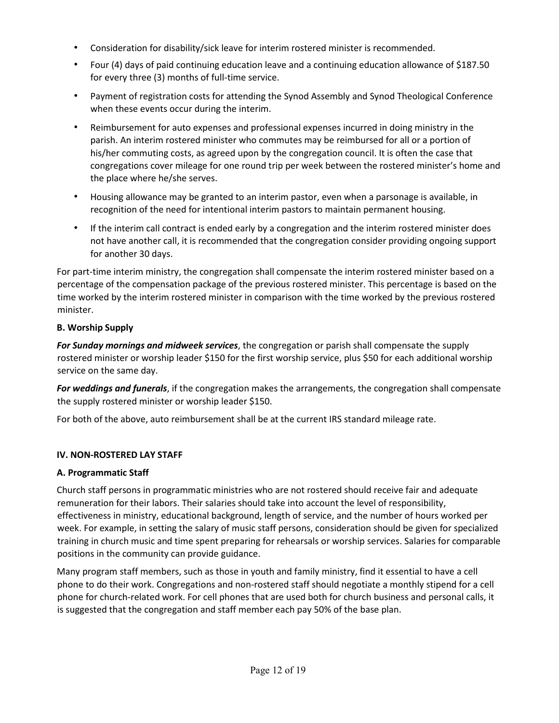- Consideration for disability/sick leave for interim rostered minister is recommended.
- Four (4) days of paid continuing education leave and a continuing education allowance of \$187.50 for every three (3) months of full-time service.
- Payment of registration costs for attending the Synod Assembly and Synod Theological Conference when these events occur during the interim.
- Reimbursement for auto expenses and professional expenses incurred in doing ministry in the parish. An interim rostered minister who commutes may be reimbursed for all or a portion of his/her commuting costs, as agreed upon by the congregation council. It is often the case that congregations cover mileage for one round trip per week between the rostered minister's home and the place where he/she serves.
- Housing allowance may be granted to an interim pastor, even when a parsonage is available, in recognition of the need for intentional interim pastors to maintain permanent housing.
- If the interim call contract is ended early by a congregation and the interim rostered minister does not have another call, it is recommended that the congregation consider providing ongoing support for another 30 days.

For part-time interim ministry, the congregation shall compensate the interim rostered minister based on a percentage of the compensation package of the previous rostered minister. This percentage is based on the time worked by the interim rostered minister in comparison with the time worked by the previous rostered minister.

# **B. Worship Supply**

*For Sunday mornings and midweek services*, the congregation or parish shall compensate the supply rostered minister or worship leader \$150 for the first worship service, plus \$50 for each additional worship service on the same day.

*For weddings and funerals*, if the congregation makes the arrangements, the congregation shall compensate the supply rostered minister or worship leader \$150.

For both of the above, auto reimbursement shall be at the current IRS standard mileage rate.

# **IV. NON-ROSTERED LAY STAFF**

# **A. Programmatic Staff**

Church staff persons in programmatic ministries who are not rostered should receive fair and adequate remuneration for their labors. Their salaries should take into account the level of responsibility, effectiveness in ministry, educational background, length of service, and the number of hours worked per week. For example, in setting the salary of music staff persons, consideration should be given for specialized training in church music and time spent preparing for rehearsals or worship services. Salaries for comparable positions in the community can provide guidance.

Many program staff members, such as those in youth and family ministry, find it essential to have a cell phone to do their work. Congregations and non-rostered staff should negotiate a monthly stipend for a cell phone for church-related work. For cell phones that are used both for church business and personal calls, it is suggested that the congregation and staff member each pay 50% of the base plan.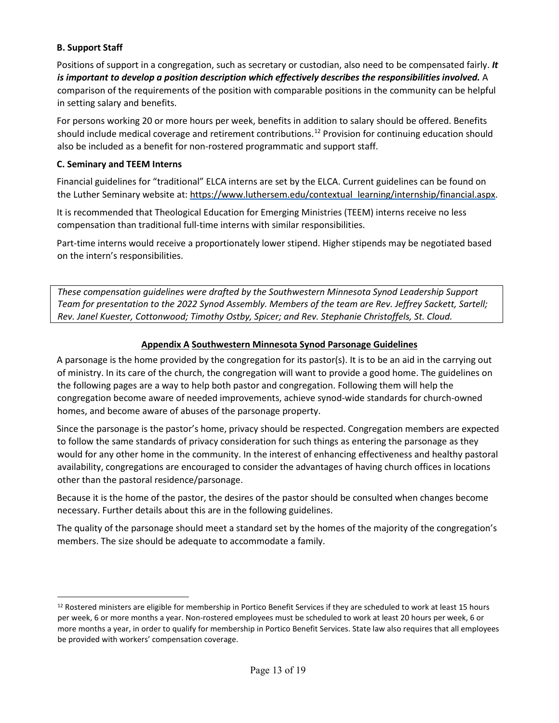## **B. Support Staff**

Positions of support in a congregation, such as secretary or custodian, also need to be compensated fairly. *It is important to develop a position description which effectively describes the responsibilities involved.* A comparison of the requirements of the position with comparable positions in the community can be helpful in setting salary and benefits.

For persons working 20 or more hours per week, benefits in addition to salary should be offered. Benefits should include medical coverage and retirement contributions.<sup>[12](#page-12-0)</sup> Provision for continuing education should also be included as a benefit for non-rostered programmatic and support staff.

#### **C. Seminary and TEEM Interns**

Financial guidelines for "traditional" ELCA interns are set by the ELCA. Current guidelines can be found on the Luther Seminary website at: https://www.luthersem.edu/contextual\_learning/internship/financial.aspx.

It is recommended that Theological Education for Emerging Ministries (TEEM) interns receive no less compensation than traditional full-time interns with similar responsibilities.

Part-time interns would receive a proportionately lower stipend. Higher stipends may be negotiated based on the intern's responsibilities.

*These compensation guidelines were drafted by the Southwestern Minnesota Synod Leadership Support Team for presentation to the 2022 Synod Assembly. Members of the team are Rev. Jeffrey Sackett, Sartell; Rev. Janel Kuester, Cottonwood; Timothy Ostby, Spicer; and Rev. Stephanie Christoffels, St. Cloud.* 

## **Appendix A Southwestern Minnesota Synod Parsonage Guidelines**

A parsonage is the home provided by the congregation for its pastor(s). It is to be an aid in the carrying out of ministry. In its care of the church, the congregation will want to provide a good home. The guidelines on the following pages are a way to help both pastor and congregation. Following them will help the congregation become aware of needed improvements, achieve synod-wide standards for church-owned homes, and become aware of abuses of the parsonage property.

Since the parsonage is the pastor's home, privacy should be respected. Congregation members are expected to follow the same standards of privacy consideration for such things as entering the parsonage as they would for any other home in the community. In the interest of enhancing effectiveness and healthy pastoral availability, congregations are encouraged to consider the advantages of having church offices in locations other than the pastoral residence/parsonage.

Because it is the home of the pastor, the desires of the pastor should be consulted when changes become necessary. Further details about this are in the following guidelines.

The quality of the parsonage should meet a standard set by the homes of the majority of the congregation's members. The size should be adequate to accommodate a family.

<span id="page-12-0"></span><sup>&</sup>lt;sup>12</sup> Rostered ministers are eligible for membership in Portico Benefit Services if they are scheduled to work at least 15 hours per week, 6 or more months a year. Non-rostered employees must be scheduled to work at least 20 hours per week, 6 or more months a year, in order to qualify for membership in Portico Benefit Services. State law also requires that all employees be provided with workers' compensation coverage.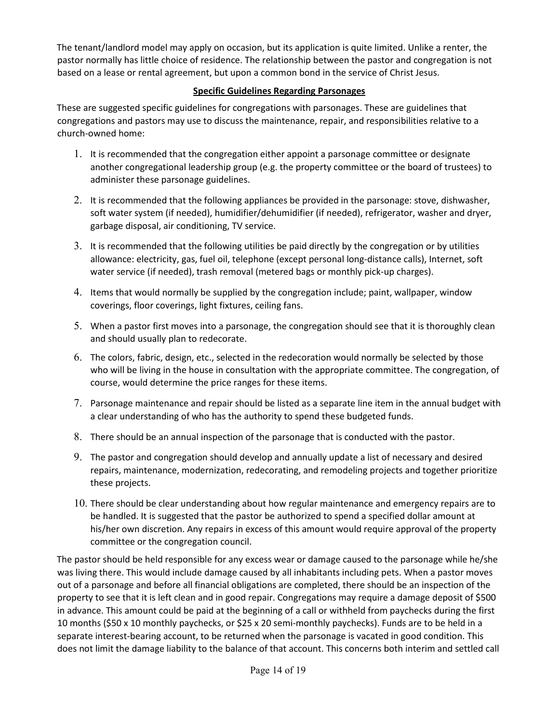The tenant/landlord model may apply on occasion, but its application is quite limited. Unlike a renter, the pastor normally has little choice of residence. The relationship between the pastor and congregation is not based on a lease or rental agreement, but upon a common bond in the service of Christ Jesus.

## **Specific Guidelines Regarding Parsonages**

These are suggested specific guidelines for congregations with parsonages. These are guidelines that congregations and pastors may use to discuss the maintenance, repair, and responsibilities relative to a church-owned home:

- 1. It is recommended that the congregation either appoint a parsonage committee or designate another congregational leadership group (e.g. the property committee or the board of trustees) to administer these parsonage guidelines.
- 2. It is recommended that the following appliances be provided in the parsonage: stove, dishwasher, soft water system (if needed), humidifier/dehumidifier (if needed), refrigerator, washer and dryer, garbage disposal, air conditioning, TV service.
- 3. It is recommended that the following utilities be paid directly by the congregation or by utilities allowance: electricity, gas, fuel oil, telephone (except personal long-distance calls), Internet, soft water service (if needed), trash removal (metered bags or monthly pick-up charges).
- 4. Items that would normally be supplied by the congregation include; paint, wallpaper, window coverings, floor coverings, light fixtures, ceiling fans.
- 5. When a pastor first moves into a parsonage, the congregation should see that it is thoroughly clean and should usually plan to redecorate.
- 6. The colors, fabric, design, etc., selected in the redecoration would normally be selected by those who will be living in the house in consultation with the appropriate committee. The congregation, of course, would determine the price ranges for these items.
- 7. Parsonage maintenance and repair should be listed as a separate line item in the annual budget with a clear understanding of who has the authority to spend these budgeted funds.
- 8. There should be an annual inspection of the parsonage that is conducted with the pastor.
- 9. The pastor and congregation should develop and annually update a list of necessary and desired repairs, maintenance, modernization, redecorating, and remodeling projects and together prioritize these projects.
- 10. There should be clear understanding about how regular maintenance and emergency repairs are to be handled. It is suggested that the pastor be authorized to spend a specified dollar amount at his/her own discretion. Any repairs in excess of this amount would require approval of the property committee or the congregation council.

The pastor should be held responsible for any excess wear or damage caused to the parsonage while he/she was living there. This would include damage caused by all inhabitants including pets. When a pastor moves out of a parsonage and before all financial obligations are completed, there should be an inspection of the property to see that it is left clean and in good repair. Congregations may require a damage deposit of \$500 in advance. This amount could be paid at the beginning of a call or withheld from paychecks during the first 10 months (\$50 x 10 monthly paychecks, or \$25 x 20 semi-monthly paychecks). Funds are to be held in a separate interest-bearing account, to be returned when the parsonage is vacated in good condition. This does not limit the damage liability to the balance of that account. This concerns both interim and settled call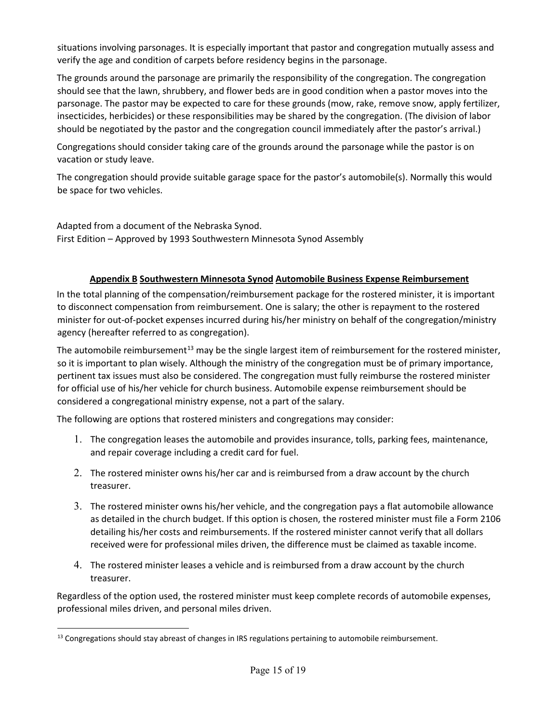situations involving parsonages. It is especially important that pastor and congregation mutually assess and verify the age and condition of carpets before residency begins in the parsonage.

The grounds around the parsonage are primarily the responsibility of the congregation. The congregation should see that the lawn, shrubbery, and flower beds are in good condition when a pastor moves into the parsonage. The pastor may be expected to care for these grounds (mow, rake, remove snow, apply fertilizer, insecticides, herbicides) or these responsibilities may be shared by the congregation. (The division of labor should be negotiated by the pastor and the congregation council immediately after the pastor's arrival.)

Congregations should consider taking care of the grounds around the parsonage while the pastor is on vacation or study leave.

The congregation should provide suitable garage space for the pastor's automobile(s). Normally this would be space for two vehicles.

Adapted from a document of the Nebraska Synod. First Edition – Approved by 1993 Southwestern Minnesota Synod Assembly

#### **Appendix B Southwestern Minnesota Synod Automobile Business Expense Reimbursement**

In the total planning of the compensation/reimbursement package for the rostered minister, it is important to disconnect compensation from reimbursement. One is salary; the other is repayment to the rostered minister for out-of-pocket expenses incurred during his/her ministry on behalf of the congregation/ministry agency (hereafter referred to as congregation).

The automobile reimbursement<sup>[13](#page-14-0)</sup> may be the single largest item of reimbursement for the rostered minister, so it is important to plan wisely. Although the ministry of the congregation must be of primary importance, pertinent tax issues must also be considered. The congregation must fully reimburse the rostered minister for official use of his/her vehicle for church business. Automobile expense reimbursement should be considered a congregational ministry expense, not a part of the salary.

The following are options that rostered ministers and congregations may consider:

- 1. The congregation leases the automobile and provides insurance, tolls, parking fees, maintenance, and repair coverage including a credit card for fuel.
- 2. The rostered minister owns his/her car and is reimbursed from a draw account by the church treasurer.
- 3. The rostered minister owns his/her vehicle, and the congregation pays a flat automobile allowance as detailed in the church budget. If this option is chosen, the rostered minister must file a Form 2106 detailing his/her costs and reimbursements. If the rostered minister cannot verify that all dollars received were for professional miles driven, the difference must be claimed as taxable income.
- 4. The rostered minister leases a vehicle and is reimbursed from a draw account by the church treasurer.

Regardless of the option used, the rostered minister must keep complete records of automobile expenses, professional miles driven, and personal miles driven.

<span id="page-14-0"></span><sup>&</sup>lt;sup>13</sup> Congregations should stay abreast of changes in IRS regulations pertaining to automobile reimbursement.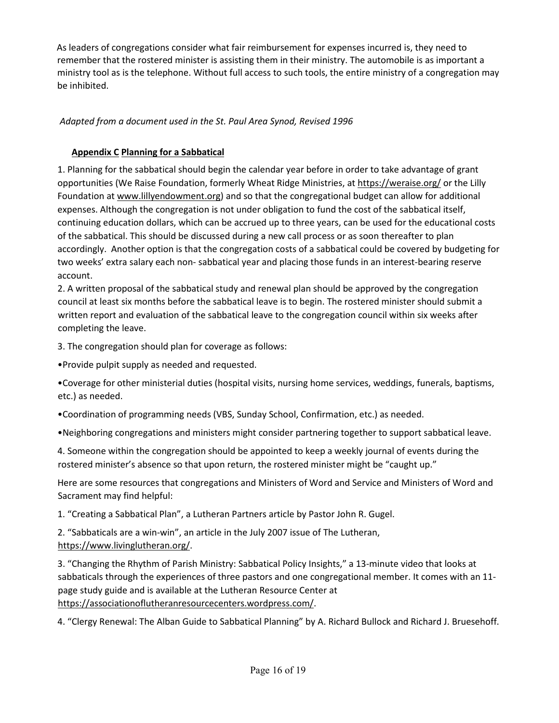As leaders of congregations consider what fair reimbursement for expenses incurred is, they need to remember that the rostered minister is assisting them in their ministry. The automobile is as important a ministry tool as is the telephone. Without full access to such tools, the entire ministry of a congregation may be inhibited.

## *Adapted from a document used in the St. Paul Area Synod, Revised 1996*

## **Appendix C Planning for a Sabbatical**

1. Planning for the sabbatical should begin the calendar year before in order to take advantage of grant opportunities (We Raise Foundation, formerly Wheat Ridge Ministries, at<https://weraise.org/> or the Lilly Foundation at [www.lillyendowment.org\)](http://www.lillyendowment.org/) and so that the congregational budget can allow for additional expenses. Although the congregation is not under obligation to fund the cost of the sabbatical itself, continuing education dollars, which can be accrued up to three years, can be used for the educational costs of the sabbatical. This should be discussed during a new call process or as soon thereafter to plan accordingly. Another option is that the congregation costs of a sabbatical could be covered by budgeting for two weeks' extra salary each non- sabbatical year and placing those funds in an interest-bearing reserve account.

2. A written proposal of the sabbatical study and renewal plan should be approved by the congregation council at least six months before the sabbatical leave is to begin. The rostered minister should submit a written report and evaluation of the sabbatical leave to the congregation council within six weeks after completing the leave.

3. The congregation should plan for coverage as follows:

•Provide pulpit supply as needed and requested.

•Coverage for other ministerial duties (hospital visits, nursing home services, weddings, funerals, baptisms, etc.) as needed.

•Coordination of programming needs (VBS, Sunday School, Confirmation, etc.) as needed.

•Neighboring congregations and ministers might consider partnering together to support sabbatical leave.

4. Someone within the congregation should be appointed to keep a weekly journal of events during the rostered minister's absence so that upon return, the rostered minister might be "caught up."

Here are some resources that congregations and Ministers of Word and Service and Ministers of Word and Sacrament may find helpful:

1. "Creating a Sabbatical Plan", a Lutheran Partners article by Pastor John R. Gugel.

2. "Sabbaticals are a win-win", an article in the July 2007 issue of The Lutheran, [https://www.livinglutheran.org/.](https://www.livinglutheran.org/)

3. "Changing the Rhythm of Parish Ministry: Sabbatical Policy Insights," a 13-minute video that looks at sabbaticals through the experiences of three pastors and one congregational member. It comes with an 11 page study guide and is available at the Lutheran Resource Center at [https://associationoflutheranresourcecenters.wordpress.com/.](https://associationoflutheranresourcecenters.wordpress.com/)

4. "Clergy Renewal: The Alban Guide to Sabbatical Planning" by A. Richard Bullock and Richard J. Bruesehoff.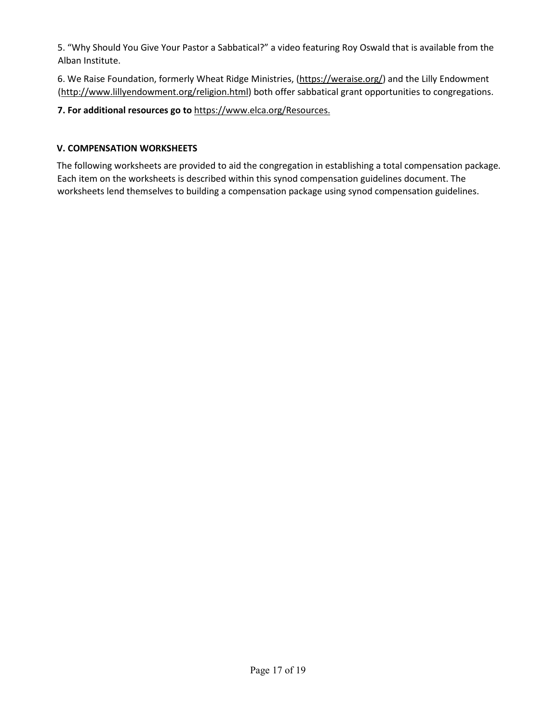5. "Why Should You Give Your Pastor a Sabbatical?" a video featuring Roy Oswald that is available from the Alban Institute.

6. We Raise Foundation, formerly Wheat Ridge Ministries, [\(https://weraise.org/\)](https://weraise.org/) and the Lilly Endowment [\(http://www.lillyendowment.org/religion.html\)](http://www.lillyendowment.org/religion.html) both offer sabbatical grant opportunities to congregations.

## **7. For additional resources go to** [https://www.elca.org/Resources.](https://www.elca.org/Resources)

## **V. COMPENSATION WORKSHEETS**

The following worksheets are provided to aid the congregation in establishing a total compensation package. Each item on the worksheets is described within this synod compensation guidelines document. The worksheets lend themselves to building a compensation package using synod compensation guidelines.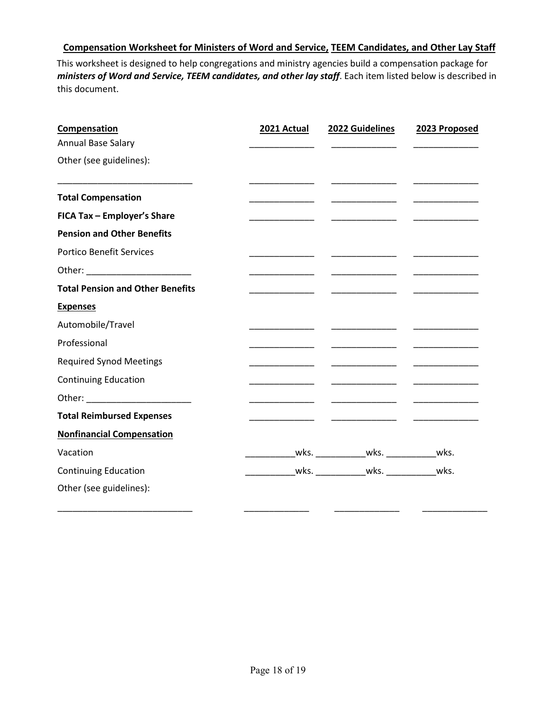## **Compensation Worksheet for Ministers of Word and Service, TEEM Candidates, and Other Lay Staff**

This worksheet is designed to help congregations and ministry agencies build a compensation package for *ministers of Word and Service, TEEM candidates, and other lay staff*. Each item listed below is described in this document.

| Compensation                            | 2021 Actual | 2022 Guidelines  | 2023 Proposed |
|-----------------------------------------|-------------|------------------|---------------|
| Annual Base Salary                      |             |                  |               |
| Other (see guidelines):                 |             |                  |               |
| <b>Total Compensation</b>               |             | ________________ |               |
| FICA Tax - Employer's Share             |             |                  |               |
| <b>Pension and Other Benefits</b>       |             |                  |               |
| <b>Portico Benefit Services</b>         |             | _______________  |               |
|                                         |             | ________________ |               |
| <b>Total Pension and Other Benefits</b> |             |                  |               |
| <b>Expenses</b>                         |             |                  |               |
| Automobile/Travel                       |             |                  |               |
| Professional                            |             |                  |               |
| <b>Required Synod Meetings</b>          |             |                  |               |
| <b>Continuing Education</b>             |             |                  |               |
|                                         |             |                  |               |
| <b>Total Reimbursed Expenses</b>        |             |                  |               |
| <b>Nonfinancial Compensation</b>        |             |                  |               |
| Vacation                                |             |                  |               |
| <b>Continuing Education</b>             |             |                  |               |
| Other (see guidelines):                 |             |                  |               |

\_\_\_\_\_\_\_\_\_\_\_\_\_\_\_\_\_\_\_\_\_\_\_\_\_\_\_ \_\_\_\_\_\_\_\_\_\_\_\_\_ \_\_\_\_\_\_\_\_\_\_\_\_\_ \_\_\_\_\_\_\_\_\_\_\_\_\_